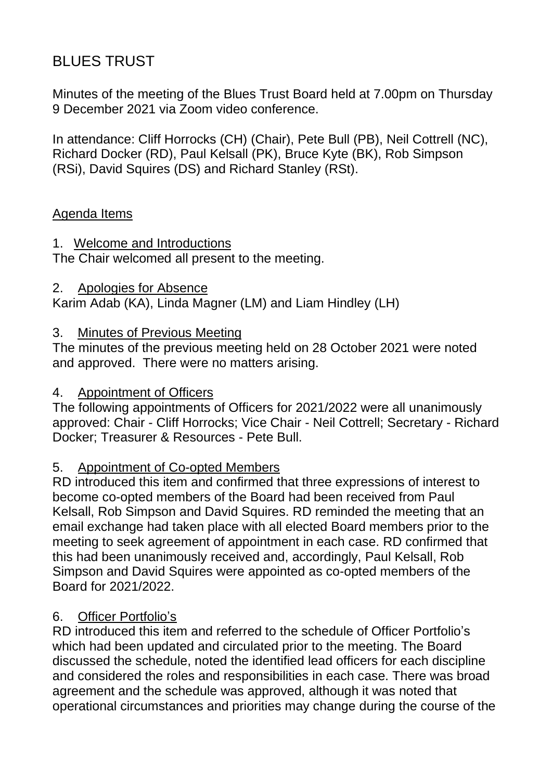# BLUES TRUST

Minutes of the meeting of the Blues Trust Board held at 7.00pm on Thursday 9 December 2021 via Zoom video conference.

In attendance: Cliff Horrocks (CH) (Chair), Pete Bull (PB), Neil Cottrell (NC), Richard Docker (RD), Paul Kelsall (PK), Bruce Kyte (BK), Rob Simpson (RSi), David Squires (DS) and Richard Stanley (RSt).

### Agenda Items

### 1. Welcome and Introductions

The Chair welcomed all present to the meeting.

2. Apologies for Absence

Karim Adab (KA), Linda Magner (LM) and Liam Hindley (LH)

#### 3. Minutes of Previous Meeting

The minutes of the previous meeting held on 28 October 2021 were noted and approved. There were no matters arising.

#### 4. Appointment of Officers

The following appointments of Officers for 2021/2022 were all unanimously approved: Chair - Cliff Horrocks; Vice Chair - Neil Cottrell; Secretary - Richard Docker; Treasurer & Resources - Pete Bull.

## 5. Appointment of Co-opted Members

RD introduced this item and confirmed that three expressions of interest to become co-opted members of the Board had been received from Paul Kelsall, Rob Simpson and David Squires. RD reminded the meeting that an email exchange had taken place with all elected Board members prior to the meeting to seek agreement of appointment in each case. RD confirmed that this had been unanimously received and, accordingly, Paul Kelsall, Rob Simpson and David Squires were appointed as co-opted members of the Board for 2021/2022.

## 6. Officer Portfolio's

RD introduced this item and referred to the schedule of Officer Portfolio's which had been updated and circulated prior to the meeting. The Board discussed the schedule, noted the identified lead officers for each discipline and considered the roles and responsibilities in each case. There was broad agreement and the schedule was approved, although it was noted that operational circumstances and priorities may change during the course of the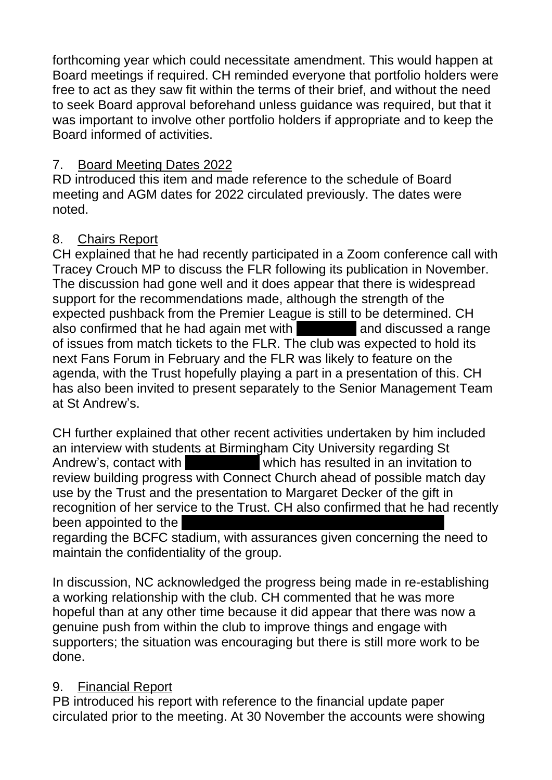forthcoming year which could necessitate amendment. This would happen at Board meetings if required. CH reminded everyone that portfolio holders were free to act as they saw fit within the terms of their brief, and without the need to seek Board approval beforehand unless guidance was required, but that it was important to involve other portfolio holders if appropriate and to keep the Board informed of activities.

## 7. Board Meeting Dates 2022

RD introduced this item and made reference to the schedule of Board meeting and AGM dates for 2022 circulated previously. The dates were noted.

## 8. Chairs Report

CH explained that he had recently participated in a Zoom conference call with Tracey Crouch MP to discuss the FLR following its publication in November. The discussion had gone well and it does appear that there is widespread support for the recommendations made, although the strength of the expected pushback from the Premier League is still to be determined. CH also confirmed that he had again met with Ian Dutton and discussed a range of issues from match tickets to the FLR. The club was expected to hold its next Fans Forum in February and the FLR was likely to feature on the agenda, with the Trust hopefully playing a part in a presentation of this. CH has also been invited to present separately to the Senior Management Team at St Andrew's.

CH further explained that other recent activities undertaken by him included an interview with students at Birmingham City University regarding St Andrew's, contact with **Kirk McAtear which has resulted in an invitation to** review building progress with Connect Church ahead of possible match day use by the Trust and the presentation to Margaret Decker of the gift in recognition of her service to the Trust. CH also confirmed that he had recently been appointed to the

regarding the BCFC stadium, with assurances given concerning the need to maintain the confidentiality of the group.

In discussion, NC acknowledged the progress being made in re-establishing a working relationship with the club. CH commented that he was more hopeful than at any other time because it did appear that there was now a genuine push from within the club to improve things and engage with supporters; the situation was encouraging but there is still more work to be done.

## 9. Financial Report

PB introduced his report with reference to the financial update paper circulated prior to the meeting. At 30 November the accounts were showing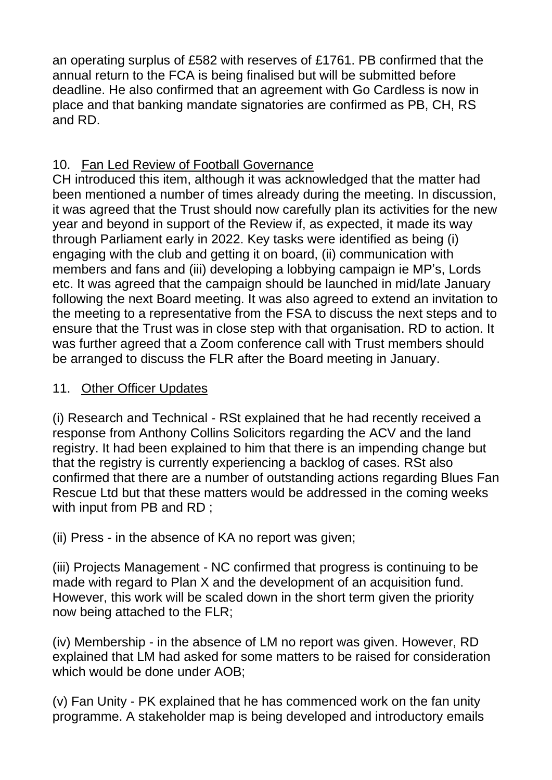an operating surplus of £582 with reserves of £1761. PB confirmed that the annual return to the FCA is being finalised but will be submitted before deadline. He also confirmed that an agreement with Go Cardless is now in place and that banking mandate signatories are confirmed as PB, CH, RS and RD.

# 10. Fan Led Review of Football Governance

CH introduced this item, although it was acknowledged that the matter had been mentioned a number of times already during the meeting. In discussion, it was agreed that the Trust should now carefully plan its activities for the new year and beyond in support of the Review if, as expected, it made its way through Parliament early in 2022. Key tasks were identified as being (i) engaging with the club and getting it on board, (ii) communication with members and fans and (iii) developing a lobbying campaign ie MP's, Lords etc. It was agreed that the campaign should be launched in mid/late January following the next Board meeting. It was also agreed to extend an invitation to the meeting to a representative from the FSA to discuss the next steps and to ensure that the Trust was in close step with that organisation. RD to action. It was further agreed that a Zoom conference call with Trust members should be arranged to discuss the FLR after the Board meeting in January.

# 11. Other Officer Updates

(i) Research and Technical - RSt explained that he had recently received a response from Anthony Collins Solicitors regarding the ACV and the land registry. It had been explained to him that there is an impending change but that the registry is currently experiencing a backlog of cases. RSt also confirmed that there are a number of outstanding actions regarding Blues Fan Rescue Ltd but that these matters would be addressed in the coming weeks with input from PB and RD;

(ii) Press - in the absence of KA no report was given;

(iii) Projects Management - NC confirmed that progress is continuing to be made with regard to Plan X and the development of an acquisition fund. However, this work will be scaled down in the short term given the priority now being attached to the FLR;

(iv) Membership - in the absence of LM no report was given. However, RD explained that LM had asked for some matters to be raised for consideration which would be done under AOB;

(v) Fan Unity - PK explained that he has commenced work on the fan unity programme. A stakeholder map is being developed and introductory emails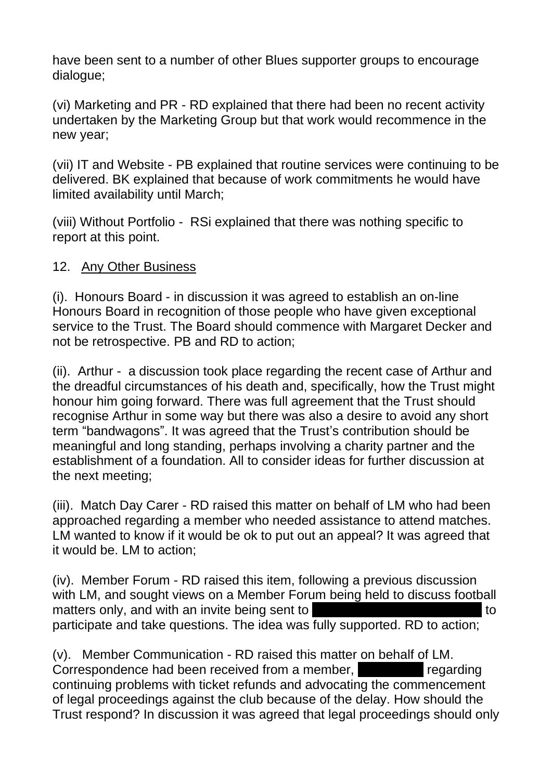have been sent to a number of other Blues supporter groups to encourage dialogue;

(vi) Marketing and PR - RD explained that there had been no recent activity undertaken by the Marketing Group but that work would recommence in the new year;

(vii) IT and Website - PB explained that routine services were continuing to be delivered. BK explained that because of work commitments he would have limited availability until March;

(viii) Without Portfolio - RSi explained that there was nothing specific to report at this point.

### 12. Any Other Business

(i). Honours Board - in discussion it was agreed to establish an on-line Honours Board in recognition of those people who have given exceptional service to the Trust. The Board should commence with Margaret Decker and not be retrospective. PB and RD to action;

(ii). Arthur - a discussion took place regarding the recent case of Arthur and the dreadful circumstances of his death and, specifically, how the Trust might honour him going forward. There was full agreement that the Trust should recognise Arthur in some way but there was also a desire to avoid any short term "bandwagons". It was agreed that the Trust's contribution should be meaningful and long standing, perhaps involving a charity partner and the establishment of a foundation. All to consider ideas for further discussion at the next meeting;

(iii). Match Day Carer - RD raised this matter on behalf of LM who had been approached regarding a member who needed assistance to attend matches. LM wanted to know if it would be ok to put out an appeal? It was agreed that it would be. LM to action;

(iv). Member Forum - RD raised this item, following a previous discussion with LM, and sought views on a Member Forum being held to discuss football matters only, and with an invite being sent to **Lee Boyer of Craig Gardner to** to participate and take questions. The idea was fully supported. RD to action;

(v). Member Communication - RD raised this matter on behalf of LM. Correspondence had been received from a member, state of regarding continuing problems with ticket refunds and advocating the commencement of legal proceedings against the club because of the delay. How should the Trust respond? In discussion it was agreed that legal proceedings should only